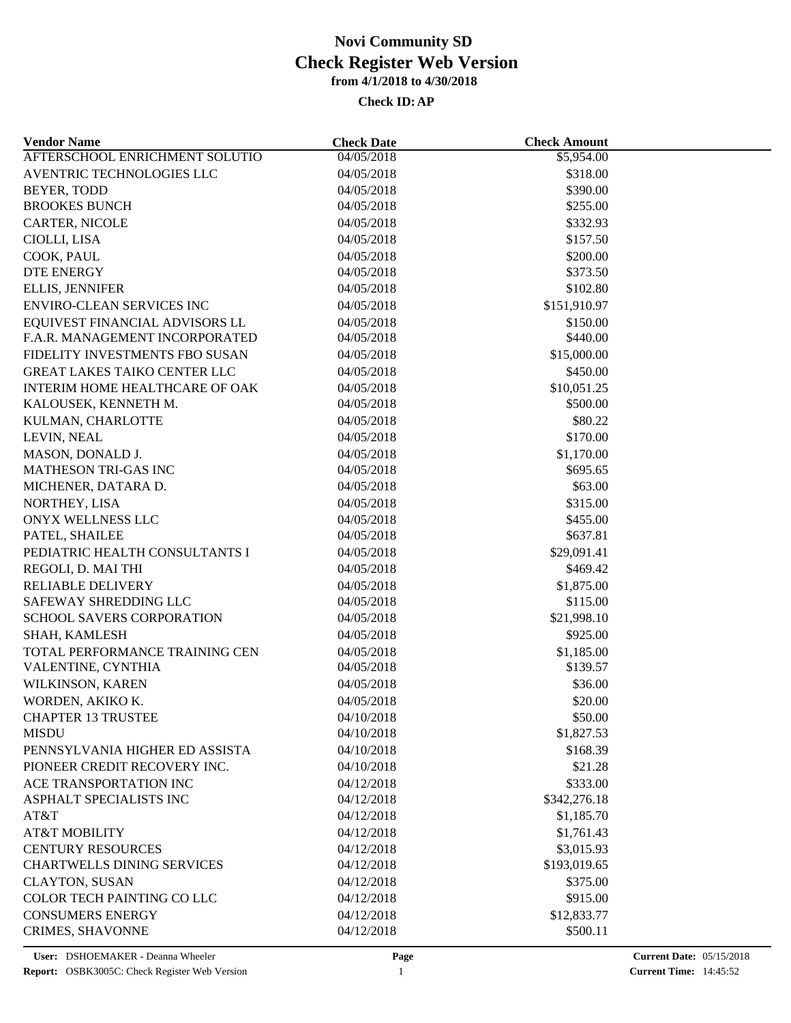| <b>Vendor Name</b>                    | <b>Check Date</b> | <b>Check Amount</b> |  |
|---------------------------------------|-------------------|---------------------|--|
| AFTERSCHOOL ENRICHMENT SOLUTIO        | 04/05/2018        | \$5,954.00          |  |
| AVENTRIC TECHNOLOGIES LLC             | 04/05/2018        | \$318.00            |  |
| BEYER, TODD                           | 04/05/2018        | \$390.00            |  |
| <b>BROOKES BUNCH</b>                  | 04/05/2018        | \$255.00            |  |
| CARTER, NICOLE                        | 04/05/2018        | \$332.93            |  |
| CIOLLI, LISA                          | 04/05/2018        | \$157.50            |  |
| COOK, PAUL                            | 04/05/2018        | \$200.00            |  |
| <b>DTE ENERGY</b>                     | 04/05/2018        | \$373.50            |  |
| <b>ELLIS, JENNIFER</b>                | 04/05/2018        | \$102.80            |  |
| <b>ENVIRO-CLEAN SERVICES INC</b>      | 04/05/2018        | \$151,910.97        |  |
| EQUIVEST FINANCIAL ADVISORS LL        | 04/05/2018        | \$150.00            |  |
| F.A.R. MANAGEMENT INCORPORATED        | 04/05/2018        | \$440.00            |  |
| FIDELITY INVESTMENTS FBO SUSAN        | 04/05/2018        | \$15,000.00         |  |
| <b>GREAT LAKES TAIKO CENTER LLC</b>   | 04/05/2018        | \$450.00            |  |
| <b>INTERIM HOME HEALTHCARE OF OAK</b> | 04/05/2018        | \$10,051.25         |  |
| KALOUSEK, KENNETH M.                  | 04/05/2018        | \$500.00            |  |
| KULMAN, CHARLOTTE                     | 04/05/2018        | \$80.22             |  |
| LEVIN, NEAL                           | 04/05/2018        | \$170.00            |  |
| MASON, DONALD J.                      | 04/05/2018        | \$1,170.00          |  |
| <b>MATHESON TRI-GAS INC</b>           | 04/05/2018        | \$695.65            |  |
| MICHENER, DATARA D.                   | 04/05/2018        | \$63.00             |  |
| NORTHEY, LISA                         | 04/05/2018        | \$315.00            |  |
| <b>ONYX WELLNESS LLC</b>              | 04/05/2018        | \$455.00            |  |
| PATEL, SHAILEE                        | 04/05/2018        | \$637.81            |  |
| PEDIATRIC HEALTH CONSULTANTS I        | 04/05/2018        | \$29,091.41         |  |
| REGOLI, D. MAI THI                    | 04/05/2018        | \$469.42            |  |
| <b>RELIABLE DELIVERY</b>              | 04/05/2018        | \$1,875.00          |  |
| SAFEWAY SHREDDING LLC                 | 04/05/2018        | \$115.00            |  |
| SCHOOL SAVERS CORPORATION             | 04/05/2018        | \$21,998.10         |  |
| SHAH, KAMLESH                         | 04/05/2018        | \$925.00            |  |
| TOTAL PERFORMANCE TRAINING CEN        | 04/05/2018        | \$1,185.00          |  |
| VALENTINE, CYNTHIA                    | 04/05/2018        | \$139.57            |  |
| WILKINSON, KAREN                      | 04/05/2018        | \$36.00             |  |
| WORDEN, AKIKO K.                      | 04/05/2018        | \$20.00             |  |
| <b>CHAPTER 13 TRUSTEE</b>             | 04/10/2018        | \$50.00             |  |
| <b>MISDU</b>                          | 04/10/2018        | \$1,827.53          |  |
| PENNSYLVANIA HIGHER ED ASSISTA        | 04/10/2018        | \$168.39            |  |
| PIONEER CREDIT RECOVERY INC.          | 04/10/2018        | \$21.28             |  |
| ACE TRANSPORTATION INC                | 04/12/2018        | \$333.00            |  |
| ASPHALT SPECIALISTS INC               | 04/12/2018        | \$342,276.18        |  |
| AT&T                                  | 04/12/2018        | \$1,185.70          |  |
| <b>AT&amp;T MOBILITY</b>              | 04/12/2018        | \$1,761.43          |  |
| <b>CENTURY RESOURCES</b>              | 04/12/2018        | \$3,015.93          |  |
| <b>CHARTWELLS DINING SERVICES</b>     | 04/12/2018        | \$193,019.65        |  |
| <b>CLAYTON, SUSAN</b>                 | 04/12/2018        | \$375.00            |  |
| COLOR TECH PAINTING CO LLC            | 04/12/2018        | \$915.00            |  |
| <b>CONSUMERS ENERGY</b>               | 04/12/2018        | \$12,833.77         |  |
| CRIMES, SHAVONNE                      | 04/12/2018        | \$500.11            |  |
|                                       |                   |                     |  |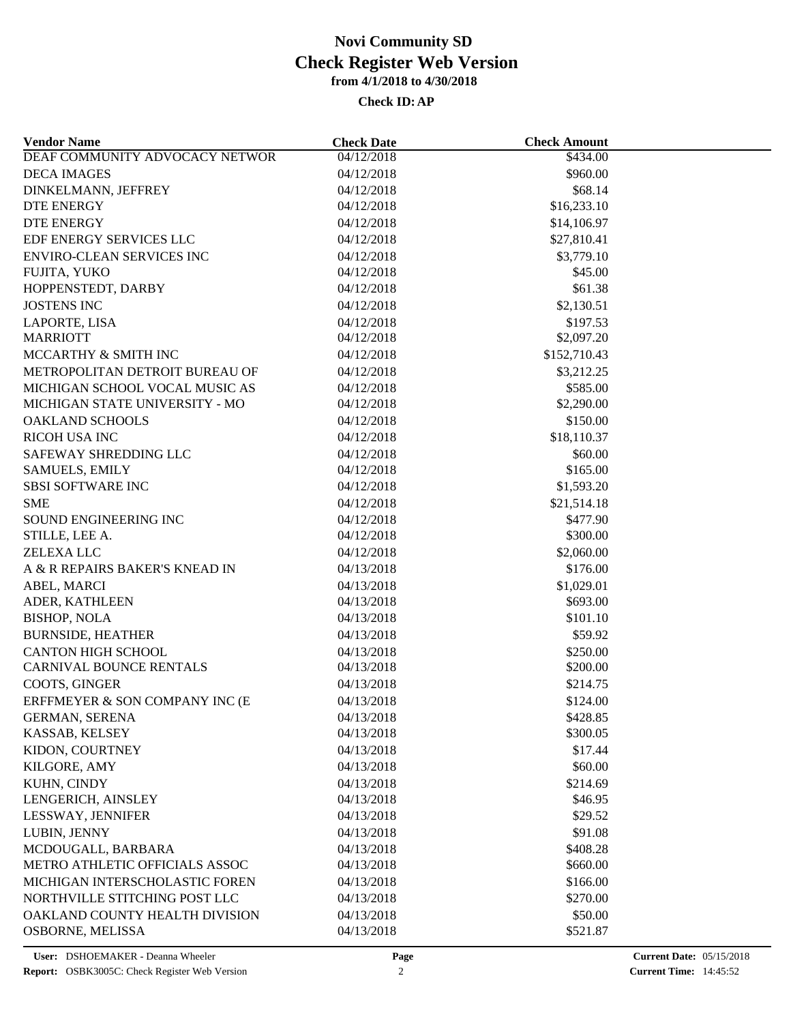| <b>Vendor Name</b>               | <b>Check Date</b> | <b>Check Amount</b>  |  |
|----------------------------------|-------------------|----------------------|--|
| DEAF COMMUNITY ADVOCACY NETWOR   | 04/12/2018        | \$434.00             |  |
| <b>DECA IMAGES</b>               | 04/12/2018        | \$960.00             |  |
| DINKELMANN, JEFFREY              | 04/12/2018        | \$68.14              |  |
| <b>DTE ENERGY</b>                | 04/12/2018        | \$16,233.10          |  |
| DTE ENERGY                       | 04/12/2018        | \$14,106.97          |  |
| EDF ENERGY SERVICES LLC          | 04/12/2018        | \$27,810.41          |  |
| <b>ENVIRO-CLEAN SERVICES INC</b> | 04/12/2018        | \$3,779.10           |  |
| FUJITA, YUKO                     | 04/12/2018        | \$45.00              |  |
| HOPPENSTEDT, DARBY               | 04/12/2018        | \$61.38              |  |
| <b>JOSTENS INC</b>               | 04/12/2018        | \$2,130.51           |  |
| LAPORTE, LISA                    | 04/12/2018        | \$197.53             |  |
| <b>MARRIOTT</b>                  | 04/12/2018        | \$2,097.20           |  |
| MCCARTHY & SMITH INC             | 04/12/2018        | \$152,710.43         |  |
| METROPOLITAN DETROIT BUREAU OF   | 04/12/2018        | \$3,212.25           |  |
| MICHIGAN SCHOOL VOCAL MUSIC AS   | 04/12/2018        | \$585.00             |  |
| MICHIGAN STATE UNIVERSITY - MO   | 04/12/2018        | \$2,290.00           |  |
| <b>OAKLAND SCHOOLS</b>           | 04/12/2018        | \$150.00             |  |
| <b>RICOH USA INC</b>             | 04/12/2018        | \$18,110.37          |  |
| SAFEWAY SHREDDING LLC            | 04/12/2018        | \$60.00              |  |
| <b>SAMUELS, EMILY</b>            | 04/12/2018        | \$165.00             |  |
| <b>SBSI SOFTWARE INC</b>         | 04/12/2018        | \$1,593.20           |  |
| <b>SME</b>                       | 04/12/2018        | \$21,514.18          |  |
|                                  |                   |                      |  |
| SOUND ENGINEERING INC            | 04/12/2018        | \$477.90<br>\$300.00 |  |
| STILLE, LEE A.                   | 04/12/2018        |                      |  |
| <b>ZELEXA LLC</b>                | 04/12/2018        | \$2,060.00           |  |
| A & R REPAIRS BAKER'S KNEAD IN   | 04/13/2018        | \$176.00             |  |
| ABEL, MARCI                      | 04/13/2018        | \$1,029.01           |  |
| ADER, KATHLEEN                   | 04/13/2018        | \$693.00             |  |
| <b>BISHOP, NOLA</b>              | 04/13/2018        | \$101.10             |  |
| <b>BURNSIDE, HEATHER</b>         | 04/13/2018        | \$59.92              |  |
| <b>CANTON HIGH SCHOOL</b>        | 04/13/2018        | \$250.00             |  |
| CARNIVAL BOUNCE RENTALS          | 04/13/2018        | \$200.00             |  |
| COOTS, GINGER                    | 04/13/2018        | \$214.75             |  |
| ERFFMEYER & SON COMPANY INC (E   | 04/13/2018        | \$124.00             |  |
| <b>GERMAN, SERENA</b>            | 04/13/2018        | \$428.85             |  |
| KASSAB, KELSEY                   | 04/13/2018        | \$300.05             |  |
| KIDON, COURTNEY                  | 04/13/2018        | \$17.44              |  |
| KILGORE, AMY                     | 04/13/2018        | \$60.00              |  |
| KUHN, CINDY                      | 04/13/2018        | \$214.69             |  |
| LENGERICH, AINSLEY               | 04/13/2018        | \$46.95              |  |
| LESSWAY, JENNIFER                | 04/13/2018        | \$29.52              |  |
| LUBIN, JENNY                     | 04/13/2018        | \$91.08              |  |
| MCDOUGALL, BARBARA               | 04/13/2018        | \$408.28             |  |
| METRO ATHLETIC OFFICIALS ASSOC   | 04/13/2018        | \$660.00             |  |
| MICHIGAN INTERSCHOLASTIC FOREN   | 04/13/2018        | \$166.00             |  |
| NORTHVILLE STITCHING POST LLC    | 04/13/2018        | \$270.00             |  |
| OAKLAND COUNTY HEALTH DIVISION   | 04/13/2018        | \$50.00              |  |
| OSBORNE, MELISSA                 | 04/13/2018        | \$521.87             |  |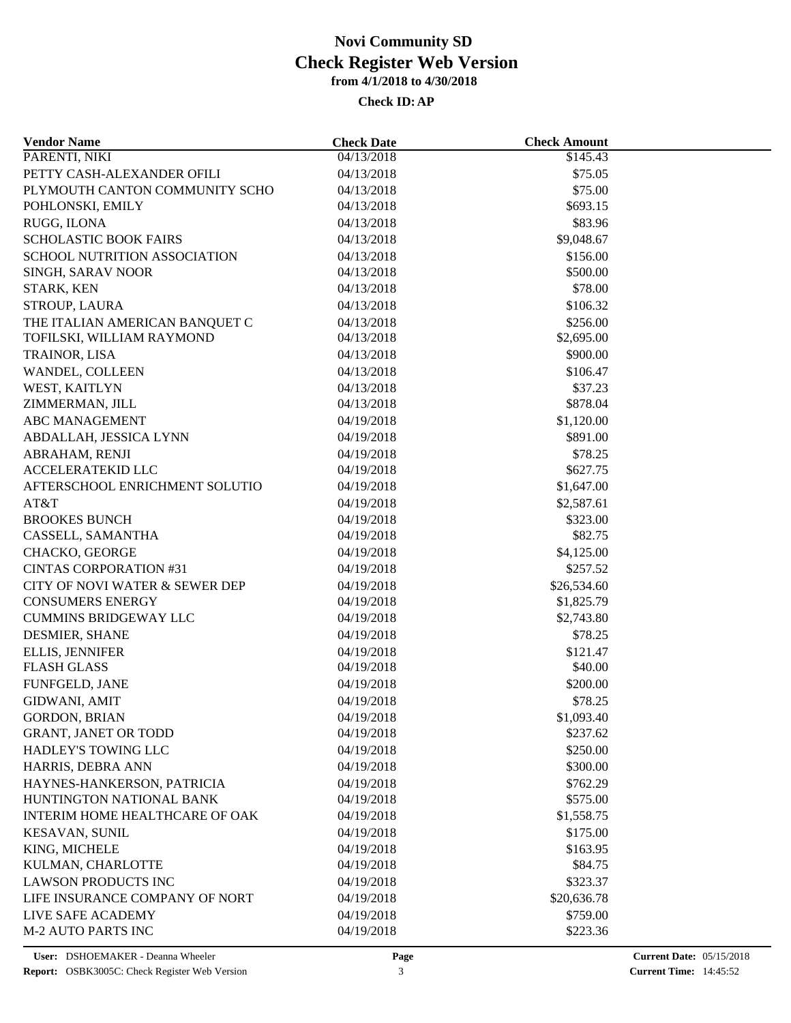| <b>Vendor Name</b>             | <b>Check Date</b> | <b>Check Amount</b> |  |
|--------------------------------|-------------------|---------------------|--|
| PARENTI, NIKI                  | 04/13/2018        | \$145.43            |  |
| PETTY CASH-ALEXANDER OFILI     | 04/13/2018        | \$75.05             |  |
| PLYMOUTH CANTON COMMUNITY SCHO | 04/13/2018        | \$75.00             |  |
| POHLONSKI, EMILY               | 04/13/2018        | \$693.15            |  |
| RUGG, ILONA                    | 04/13/2018        | \$83.96             |  |
| <b>SCHOLASTIC BOOK FAIRS</b>   | 04/13/2018        | \$9,048.67          |  |
| SCHOOL NUTRITION ASSOCIATION   | 04/13/2018        | \$156.00            |  |
| SINGH, SARAV NOOR              | 04/13/2018        | \$500.00            |  |
| STARK, KEN                     | 04/13/2018        | \$78.00             |  |
| <b>STROUP, LAURA</b>           | 04/13/2018        | \$106.32            |  |
| THE ITALIAN AMERICAN BANQUET C | 04/13/2018        | \$256.00            |  |
| TOFILSKI, WILLIAM RAYMOND      | 04/13/2018        | \$2,695.00          |  |
| TRAINOR, LISA                  | 04/13/2018        | \$900.00            |  |
| WANDEL, COLLEEN                | 04/13/2018        | \$106.47            |  |
| WEST, KAITLYN                  | 04/13/2018        | \$37.23             |  |
| ZIMMERMAN, JILL                | 04/13/2018        | \$878.04            |  |
| ABC MANAGEMENT                 | 04/19/2018        | \$1,120.00          |  |
| ABDALLAH, JESSICA LYNN         | 04/19/2018        | \$891.00            |  |
| ABRAHAM, RENJI                 | 04/19/2018        | \$78.25             |  |
| ACCELERATEKID LLC              | 04/19/2018        | \$627.75            |  |
| AFTERSCHOOL ENRICHMENT SOLUTIO | 04/19/2018        | \$1,647.00          |  |
| AT&T                           | 04/19/2018        | \$2,587.61          |  |
| <b>BROOKES BUNCH</b>           | 04/19/2018        | \$323.00            |  |
| CASSELL, SAMANTHA              | 04/19/2018        | \$82.75             |  |
| CHACKO, GEORGE                 | 04/19/2018        | \$4,125.00          |  |
| <b>CINTAS CORPORATION #31</b>  | 04/19/2018        | \$257.52            |  |
| CITY OF NOVI WATER & SEWER DEP | 04/19/2018        | \$26,534.60         |  |
| <b>CONSUMERS ENERGY</b>        | 04/19/2018        | \$1,825.79          |  |
| <b>CUMMINS BRIDGEWAY LLC</b>   | 04/19/2018        | \$2,743.80          |  |
| DESMIER, SHANE                 | 04/19/2018        | \$78.25             |  |
| ELLIS, JENNIFER                | 04/19/2018        | \$121.47            |  |
| <b>FLASH GLASS</b>             | 04/19/2018        | \$40.00             |  |
| FUNFGELD, JANE                 | 04/19/2018        | \$200.00            |  |
| GIDWANI, AMIT                  | 04/19/2018        | \$78.25             |  |
| <b>GORDON, BRIAN</b>           | 04/19/2018        | \$1,093.40          |  |
| GRANT, JANET OR TODD           | 04/19/2018        | \$237.62            |  |
| <b>HADLEY'S TOWING LLC</b>     | 04/19/2018        | \$250.00            |  |
| HARRIS, DEBRA ANN              | 04/19/2018        | \$300.00            |  |
| HAYNES-HANKERSON, PATRICIA     | 04/19/2018        | \$762.29            |  |
| HUNTINGTON NATIONAL BANK       | 04/19/2018        | \$575.00            |  |
| INTERIM HOME HEALTHCARE OF OAK | 04/19/2018        | \$1,558.75          |  |
| <b>KESAVAN, SUNIL</b>          | 04/19/2018        | \$175.00            |  |
| KING, MICHELE                  | 04/19/2018        | \$163.95            |  |
| KULMAN, CHARLOTTE              | 04/19/2018        | \$84.75             |  |
| <b>LAWSON PRODUCTS INC</b>     | 04/19/2018        | \$323.37            |  |
| LIFE INSURANCE COMPANY OF NORT | 04/19/2018        | \$20,636.78         |  |
| LIVE SAFE ACADEMY              | 04/19/2018        | \$759.00            |  |
| <b>M-2 AUTO PARTS INC</b>      | 04/19/2018        | \$223.36            |  |
|                                |                   |                     |  |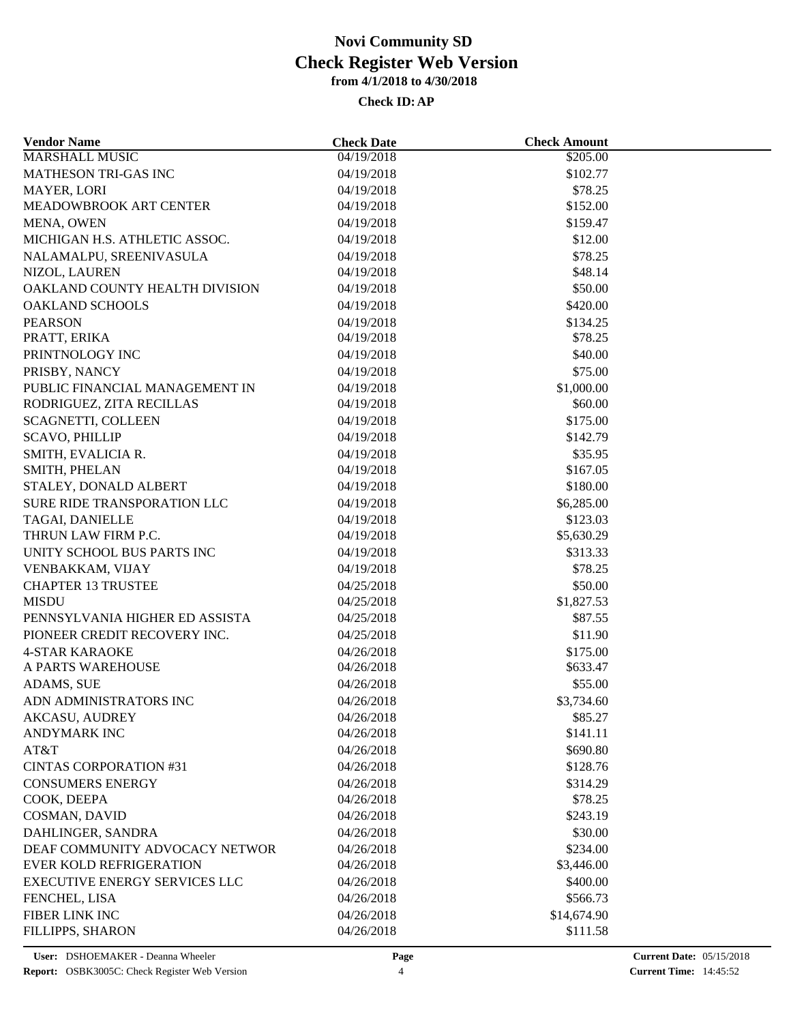| <b>Vendor Name</b>                   | <b>Check Date</b> | <b>Check Amount</b> |  |
|--------------------------------------|-------------------|---------------------|--|
| <b>MARSHALL MUSIC</b>                | 04/19/2018        | \$205.00            |  |
| MATHESON TRI-GAS INC                 | 04/19/2018        | \$102.77            |  |
| <b>MAYER, LORI</b>                   | 04/19/2018        | \$78.25             |  |
| MEADOWBROOK ART CENTER               | 04/19/2018        | \$152.00            |  |
| MENA, OWEN                           | 04/19/2018        | \$159.47            |  |
| MICHIGAN H.S. ATHLETIC ASSOC.        | 04/19/2018        | \$12.00             |  |
| NALAMALPU, SREENIVASULA              | 04/19/2018        | \$78.25             |  |
| NIZOL, LAUREN                        | 04/19/2018        | \$48.14             |  |
| OAKLAND COUNTY HEALTH DIVISION       | 04/19/2018        | \$50.00             |  |
| <b>OAKLAND SCHOOLS</b>               | 04/19/2018        | \$420.00            |  |
| <b>PEARSON</b>                       | 04/19/2018        | \$134.25            |  |
| PRATT, ERIKA                         | 04/19/2018        | \$78.25             |  |
| PRINTNOLOGY INC                      | 04/19/2018        | \$40.00             |  |
| PRISBY, NANCY                        | 04/19/2018        | \$75.00             |  |
| PUBLIC FINANCIAL MANAGEMENT IN       | 04/19/2018        | \$1,000.00          |  |
| RODRIGUEZ, ZITA RECILLAS             | 04/19/2018        | \$60.00             |  |
| SCAGNETTI, COLLEEN                   | 04/19/2018        | \$175.00            |  |
| <b>SCAVO, PHILLIP</b>                | 04/19/2018        | \$142.79            |  |
| SMITH, EVALICIA R.                   | 04/19/2018        | \$35.95             |  |
| SMITH, PHELAN                        | 04/19/2018        | \$167.05            |  |
| STALEY, DONALD ALBERT                | 04/19/2018        | \$180.00            |  |
| SURE RIDE TRANSPORATION LLC          | 04/19/2018        | \$6,285.00          |  |
| TAGAI, DANIELLE                      | 04/19/2018        | \$123.03            |  |
| THRUN LAW FIRM P.C.                  | 04/19/2018        | \$5,630.29          |  |
| UNITY SCHOOL BUS PARTS INC           | 04/19/2018        | \$313.33            |  |
|                                      |                   |                     |  |
| VENBAKKAM, VIJAY                     | 04/19/2018        | \$78.25             |  |
| <b>CHAPTER 13 TRUSTEE</b>            | 04/25/2018        | \$50.00             |  |
| <b>MISDU</b>                         | 04/25/2018        | \$1,827.53          |  |
| PENNSYLVANIA HIGHER ED ASSISTA       | 04/25/2018        | \$87.55             |  |
| PIONEER CREDIT RECOVERY INC.         | 04/25/2018        | \$11.90             |  |
| <b>4-STAR KARAOKE</b>                | 04/26/2018        | \$175.00            |  |
| A PARTS WAREHOUSE                    | 04/26/2018        | \$633.47            |  |
| ADAMS, SUE                           | 04/26/2018        | \$55.00             |  |
| ADN ADMINISTRATORS INC               | 04/26/2018        | \$3,734.60          |  |
| AKCASU, AUDREY                       | 04/26/2018        | \$85.27             |  |
| ANDYMARK INC                         | 04/26/2018        | \$141.11            |  |
| AT&T                                 | 04/26/2018        | \$690.80            |  |
| <b>CINTAS CORPORATION #31</b>        | 04/26/2018        | \$128.76            |  |
| <b>CONSUMERS ENERGY</b>              | 04/26/2018        | \$314.29            |  |
| COOK, DEEPA                          | 04/26/2018        | \$78.25             |  |
| COSMAN, DAVID                        | 04/26/2018        | \$243.19            |  |
| DAHLINGER, SANDRA                    | 04/26/2018        | \$30.00             |  |
| DEAF COMMUNITY ADVOCACY NETWOR       | 04/26/2018        | \$234.00            |  |
| <b>EVER KOLD REFRIGERATION</b>       | 04/26/2018        | \$3,446.00          |  |
| <b>EXECUTIVE ENERGY SERVICES LLC</b> | 04/26/2018        | \$400.00            |  |
| FENCHEL, LISA                        | 04/26/2018        | \$566.73            |  |
| FIBER LINK INC                       | 04/26/2018        | \$14,674.90         |  |
| FILLIPPS, SHARON                     | 04/26/2018        | \$111.58            |  |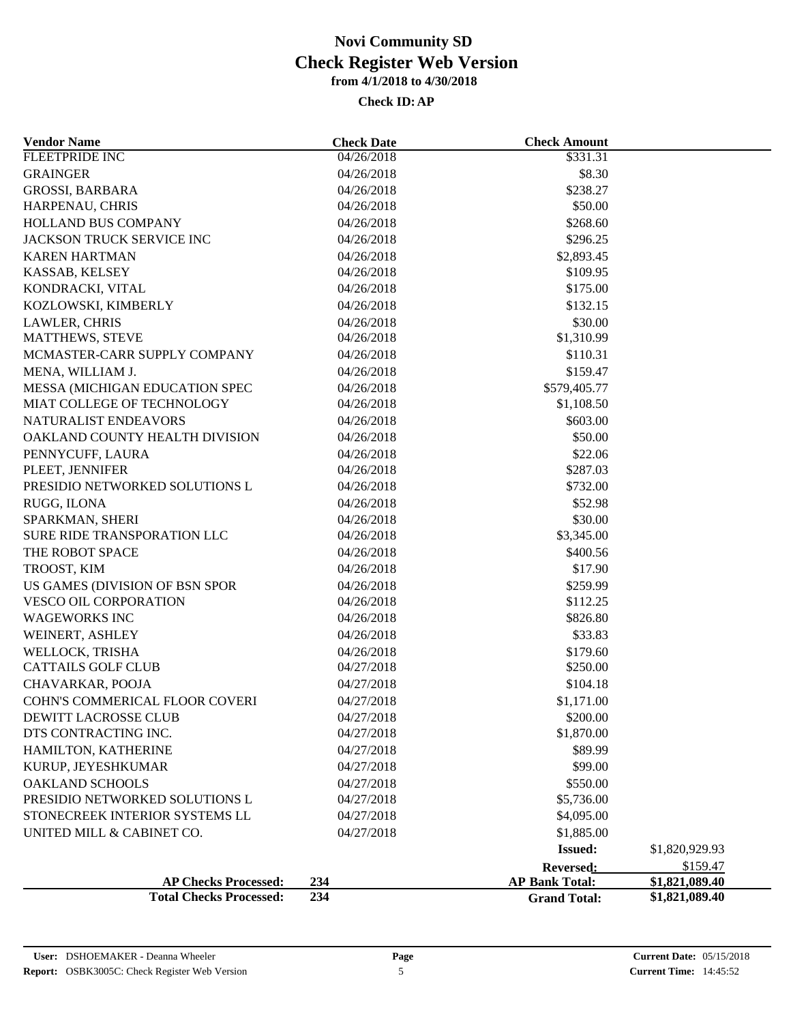| <b>Vendor Name</b>             | <b>Check Date</b> | <b>Check Amount</b>   |                |
|--------------------------------|-------------------|-----------------------|----------------|
| <b>FLEETPRIDE INC</b>          | 04/26/2018        | \$331.31              |                |
| <b>GRAINGER</b>                | 04/26/2018        | \$8.30                |                |
| <b>GROSSI, BARBARA</b>         | 04/26/2018        | \$238.27              |                |
| HARPENAU, CHRIS                | 04/26/2018        | \$50.00               |                |
| <b>HOLLAND BUS COMPANY</b>     | 04/26/2018        | \$268.60              |                |
| JACKSON TRUCK SERVICE INC      | 04/26/2018        | \$296.25              |                |
| <b>KAREN HARTMAN</b>           | 04/26/2018        | \$2,893.45            |                |
| KASSAB, KELSEY                 | 04/26/2018        | \$109.95              |                |
| KONDRACKI, VITAL               | 04/26/2018        | \$175.00              |                |
| KOZLOWSKI, KIMBERLY            | 04/26/2018        | \$132.15              |                |
| LAWLER, CHRIS                  | 04/26/2018        | \$30.00               |                |
| <b>MATTHEWS, STEVE</b>         | 04/26/2018        | \$1,310.99            |                |
| MCMASTER-CARR SUPPLY COMPANY   | 04/26/2018        | \$110.31              |                |
| MENA, WILLIAM J.               | 04/26/2018        | \$159.47              |                |
| MESSA (MICHIGAN EDUCATION SPEC | 04/26/2018        | \$579,405.77          |                |
| MIAT COLLEGE OF TECHNOLOGY     | 04/26/2018        | \$1,108.50            |                |
| NATURALIST ENDEAVORS           | 04/26/2018        | \$603.00              |                |
| OAKLAND COUNTY HEALTH DIVISION | 04/26/2018        | \$50.00               |                |
| PENNYCUFF, LAURA               | 04/26/2018        | \$22.06               |                |
| PLEET, JENNIFER                | 04/26/2018        | \$287.03              |                |
| PRESIDIO NETWORKED SOLUTIONS L | 04/26/2018        | \$732.00              |                |
| RUGG, ILONA                    | 04/26/2018        | \$52.98               |                |
| SPARKMAN, SHERI                | 04/26/2018        | \$30.00               |                |
| SURE RIDE TRANSPORATION LLC    | 04/26/2018        | \$3,345.00            |                |
| THE ROBOT SPACE                | 04/26/2018        | \$400.56              |                |
| TROOST, KIM                    | 04/26/2018        | \$17.90               |                |
| US GAMES (DIVISION OF BSN SPOR | 04/26/2018        | \$259.99              |                |
| VESCO OIL CORPORATION          | 04/26/2018        | \$112.25              |                |
| <b>WAGEWORKS INC</b>           | 04/26/2018        | \$826.80              |                |
| WEINERT, ASHLEY                | 04/26/2018        | \$33.83               |                |
| WELLOCK, TRISHA                | 04/26/2018        | \$179.60              |                |
| <b>CATTAILS GOLF CLUB</b>      | 04/27/2018        | \$250.00              |                |
| CHAVARKAR, POOJA               | 04/27/2018        | \$104.18              |                |
| COHN'S COMMERICAL FLOOR COVERI | 04/27/2018        | \$1,171.00            |                |
| DEWITT LACROSSE CLUB           | 04/27/2018        | \$200.00              |                |
| DTS CONTRACTING INC.           | 04/27/2018        | \$1,870.00            |                |
| HAMILTON, KATHERINE            | 04/27/2018        | \$89.99               |                |
| KURUP, JEYESHKUMAR             | 04/27/2018        | \$99.00               |                |
| <b>OAKLAND SCHOOLS</b>         | 04/27/2018        | \$550.00              |                |
| PRESIDIO NETWORKED SOLUTIONS L | 04/27/2018        | \$5,736.00            |                |
| STONECREEK INTERIOR SYSTEMS LL | 04/27/2018        | \$4,095.00            |                |
| UNITED MILL & CABINET CO.      | 04/27/2018        | \$1,885.00            |                |
|                                |                   | <b>Issued:</b>        | \$1,820,929.93 |
|                                |                   | Reversed:             | \$159.47       |
| <b>AP Checks Processed:</b>    | 234               | <b>AP Bank Total:</b> | \$1,821,089.40 |
| <b>Total Checks Processed:</b> | 234               | <b>Grand Total:</b>   | \$1,821,089.40 |